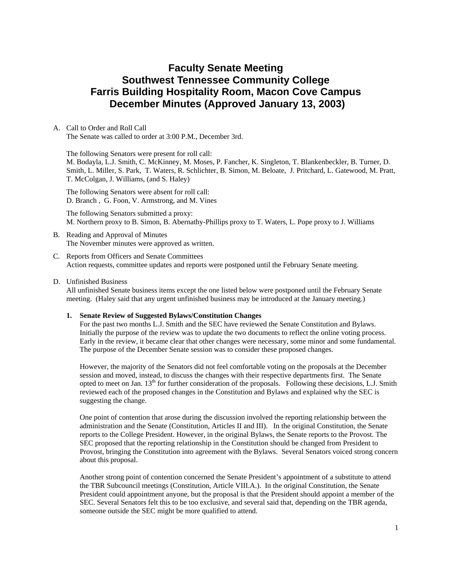# **Faculty Senate Meeting Southwest Tennessee Community College Farris Building Hospitality Room, Macon Cove Campus December Minutes (Approved January 13, 2003)**

## A. Call to Order and Roll Call

The Senate was called to order at 3:00 P.M., December 3rd.

The following Senators were present for roll call: M. Bodayla, L.J. Smith, C. McKinney, M. Moses, P. Fancher, K. Singleton, T. Blankenbeckler, B. Turner, D. Smith, L. Miller, S. Park, T. Waters, R. Schlichter, B. Simon, M. Beloate, J. Pritchard, L. Gatewood, M. Pratt, T. McColgan, J. Williams, (and S. Haley)

The following Senators were absent for roll call: D. Branch , G. Foon, V. Armstrong, and M. Vines

The following Senators submitted a proxy: M. Northern proxy to B. Simon, B. Abernathy-Phillips proxy to T. Waters, L. Pope proxy to J. Williams

## B. Reading and Approval of Minutes The November minutes were approved as written.

## C. Reports from Officers and Senate Committees Action requests, committee updates and reports were postponed until the February Senate meeting.

## D. Unfinished Business

All unfinished Senate business items except the one listed below were postponed until the February Senate meeting. (Haley said that any urgent unfinished business may be introduced at the January meeting.)

## **1. Senate Review of Suggested Bylaws/Constitution Changes**

For the past two months L.J. Smith and the SEC have reviewed the Senate Constitution and Bylaws. Initially the purpose of the review was to update the two documents to reflect the online voting process. Early in the review, it became clear that other changes were necessary, some minor and some fundamental. The purpose of the December Senate session was to consider these proposed changes.

However, the majority of the Senators did not feel comfortable voting on the proposals at the December session and moved, instead, to discuss the changes with their respective departments first. The Senate opted to meet on Jan.  $13<sup>th</sup>$  for further consideration of the proposals. Following these decisions, L.J. Smith reviewed each of the proposed changes in the Constitution and Bylaws and explained why the SEC is suggesting the change.

One point of contention that arose during the discussion involved the reporting relationship between the administration and the Senate (Constitution, Articles II and III). In the original Constitution, the Senate reports to the College President. However, in the original Bylaws, the Senate reports to the Provost. The SEC proposed that the reporting relationship in the Constitution should be changed from President to Provost, bringing the Constitution into agreement with the Bylaws. Several Senators voiced strong concern about this proposal.

Another strong point of contention concerned the Senate President's appointment of a substitute to attend the TBR Subcouncil meetings (Constitution, Article VIII.A.). In the original Constitution, the Senate President could appointment anyone, but the proposal is that the President should appoint a member of the SEC. Several Senators felt this to be too exclusive, and several said that, depending on the TBR agenda, someone outside the SEC might be more qualified to attend.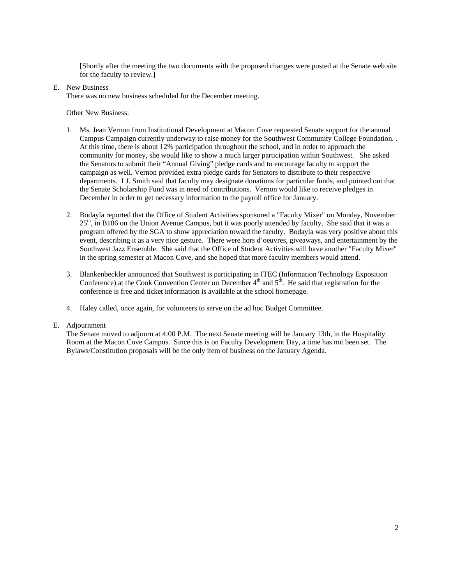[Shortly after the meeting the two documents with the proposed changes were posted at the Senate web site for the faculty to review.]

E. New Business

There was no new business scheduled for the December meeting.

Other New Business:

- 1. Ms. Jean Vernon from Institutional Development at Macon Cove requested Senate support for the annual Campus Campaign currently underway to raise money for the Southwest Community College Foundation. . At this time, there is about 12% participation throughout the school, and in order to approach the community for money, she would like to show a much larger participation within Southwest. She asked the Senators to submit their "Annual Giving" pledge cards and to encourage faculty to support the campaign as well. Vernon provided extra pledge cards for Senators to distribute to their respective departments. LJ. Smith said that faculty may designate donations for particular funds, and pointed out that the Senate Scholarship Fund was in need of contributions. Vernon would like to receive pledges in December in order to get necessary information to the payroll office for January.
- 2. Bodayla reported that the Office of Student Activities sponsored a "Faculty Mixer" on Monday, November 25<sup>th</sup>, in B106 on the Union Avenue Campus, but it was poorly attended by faculty. She said that it was a program offered by the SGA to show appreciation toward the faculty. Bodayla was very positive about this event, describing it as a very nice gesture. There were hors d'oeuvres, giveaways, and entertainment by the Southwest Jazz Ensemble. She said that the Office of Student Activities will have another "Faculty Mixer" in the spring semester at Macon Cove, and she hoped that more faculty members would attend.
- 3. Blankenbeckler announced that Southwest is participating in ITEC (Information Technology Exposition Conference) at the Cook Convention Center on December  $4<sup>th</sup>$  and  $5<sup>th</sup>$ . He said that registration for the conference is free and ticket information is available at the school homepage.
- 4. Haley called, once again, for volunteers to serve on the ad hoc Budget Committee.

## E. Adjournment

The Senate moved to adjourn at 4:00 P.M. The next Senate meeting will be January 13th, in the Hospitality Room at the Macon Cove Campus. Since this is on Faculty Development Day, a time has not been set. The Bylaws/Constitution proposals will be the only item of business on the January Agenda.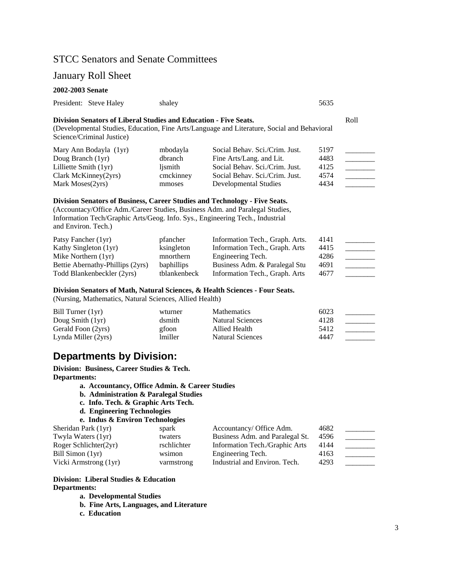# STCC Senators and Senate Committees

# January Roll Sheet

### **2002-2003 Senate**

|  | President: Steve Haley | shalev | 5635 |
|--|------------------------|--------|------|
|--|------------------------|--------|------|

# **Division Senators of Liberal Studies and Education - Five Seats.** Roll

(Developmental Studies, Education, Fine Arts/Language and Literature, Social and Behavioral Science/Criminal Justice)

| Mary Ann Bodayla (1yr)          | mbodayla  | Social Behav. Sci./Crim. Just. | 5197 |  |
|---------------------------------|-----------|--------------------------------|------|--|
| Doug Branch (1yr)               | dbranch   | Fine Arts/Lang. and Lit.       | 4483 |  |
| Lilliette Smith $(1yr)$         | lismith   | Social Behav. Sci./Crim. Just. | 4125 |  |
| $Clark$ McKinney $(2\gamma rs)$ | cmckinney | Social Behav. Sci./Crim. Just. | 4574 |  |
| Mark Moses (2yrs)               | mmoses    | Developmental Studies          | 4434 |  |

### **Division Senators of Business, Career Studies and Technology - Five Seats.**

(Accountacy/Office Adm./Career Studies, Business Adm. and Paralegal Studies, Information Tech/Graphic Arts/Geog. Info. Sys., Engineering Tech., Industrial and Environ. Tech.)

| Patsy Fancher (1yr)              | pfancher          | Information Tech., Graph. Arts. | 4141 |  |
|----------------------------------|-------------------|---------------------------------|------|--|
| Kathy Singleton (1yr)            | ksingleton        | Information Tech., Graph. Arts  | 4415 |  |
| Mike Northern $(1yr)$            | mnorthern         | Engineering Tech.               | 4286 |  |
| Bettie Abernathy-Phillips (2yrs) | <b>baphillips</b> | Business Adm. & Paralegal Stu   | 4691 |  |
| Todd Blankenbeckler (2yrs)       | tblankenbeck      | Information Tech., Graph. Arts  | 4677 |  |

#### **Division Senators of Math, Natural Sciences, & Health Sciences - Four Seats.**

(Nursing, Mathematics, Natural Sciences, Allied Health)

| Bill Turner (1yr)   | wturner | <b>Mathematics</b> | 6023 |  |
|---------------------|---------|--------------------|------|--|
| Doug Smith $(1yr)$  | dsmith  | Natural Sciences   | 4128 |  |
| Gerald Foon (2yrs)  | gfoon   | Allied Health      | 5412 |  |
| Lynda Miller (2yrs) | lmiller | Natural Sciences   | 4447 |  |

# **Departments by Division:**

**Division: Business, Career Studies & Tech. Departments:** 

- **a. Accountancy, Office Admin. & Career Studies**
- **b. Administration & Paralegal Studies**
- **c. Info. Tech. & Graphic Arts Tech.**
- **d. Engineering Technologies**

```
e. Indus & Environ Technologies
```

| Sheridan Park (1yr)   | spark       | Accountancy/ Office Adm.        | 4682 |  |
|-----------------------|-------------|---------------------------------|------|--|
| Twyla Waters (1yr)    | twaters     | Business Adm. and Paralegal St. | 4596 |  |
| Roger Schlichter(2yr) | rschlichter | Information Tech./Graphic Arts  | 4144 |  |
| Bill Simon (1yr)      | wsimon      | Engineering Tech.               | 4163 |  |
| Vicki Armstrong (1yr) | varmstrong  | Industrial and Environ. Tech.   | 4293 |  |

# **Division: Liberal Studies & Education Departments:**

**a. Developmental Studies** 

- **b. Fine Arts, Languages, and Literature**
- **c. Education**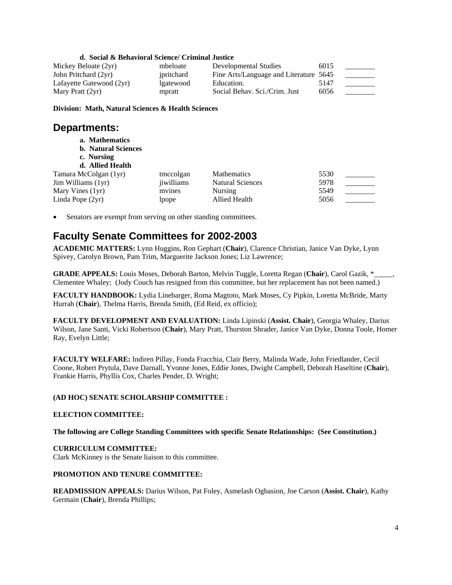# **d. Social & Behavioral Science/ Criminal Justice**

| Mickey Beloate (2yr)     | mbeloate   | Developmental Studies                  | 6015 |  |
|--------------------------|------------|----------------------------------------|------|--|
| John Pritchard (2yr)     | ipritchard | Fine Arts/Language and Literature 5645 |      |  |
| Lafayette Gatewood (2yr) | lgatewood  | Education.                             | 5147 |  |
| Mary Pratt (2yr)         | mpratt     | Social Behav. Sci./Crim. Just          | 6056 |  |

**Division: Math, Natural Sciences & Health Sciences** 

# **Departments:**

- **a. Mathematics**
- **b. Natural Sciences**
- **c. Nursing**
- **d. Allied Health**  Tamara McColgan (1yr) tmccolgan Mathematics 5530 Jim Williams (1yr) iiwilliams Natural Sciences 5978 Mary Vines (1yr) mvines Nursing 5549

Linda Pope (2yr) lpope Allied Health 5056

Senators are exempt from serving on other standing committees.

# **Faculty Senate Committees for 2002-2003**

**ACADEMIC MATTERS:** Lynn Huggins, Ron Gephart (**Chair**), Clarence Christian, Janice Van Dyke, Lynn Spivey, Carolyn Brown, Pam Trim, Marguerite Jackson Jones; Liz Lawrence;

**GRADE APPEALS:** Louis Moses, Deborah Barton, Melvin Tuggle, Loretta Regan (**Chair**), Carol Gazik, \*\_\_\_\_\_, Clementee Whaley; (Jody Couch has resigned from this committee, but her replacement has not been named.)

**FACULTY HANDBOOK:** Lydia Linebarger, Roma Magtoto, Mark Moses, Cy Pipkin, Loretta McBride, Marty Hurrah (**Chair**), Thelma Harris, Brenda Smith, (Ed Reid, ex officio);

**FACULTY DEVELOPMENT AND EVALUATION:** Linda Lipinski (**Assist. Chair**), Georgia Whaley, Darius Wilson, Jane Santi, Vicki Robertson (**Chair**), Mary Pratt, Thurston Shrader, Janice Van Dyke, Donna Toole, Homer Ray, Evelyn Little;

**FACULTY WELFARE:** Indiren Pillay, Fonda Fracchia, Clair Berry, Malinda Wade, John Friedlander, Cecil Coone, Robert Prytula, Dave Darnall, Yvonne Jones, Eddie Jones, Dwight Campbell, Deborah Haseltine (**Chair**), Frankie Harris, Phyllis Cox, Charles Pender, D. Wright;

# **(AD HOC) SENATE SCHOLARSHIP COMMITTEE :**

## **ELECTION COMMITTEE:**

**The following are College Standing Committees with specific Senate Relationships: (See Constitution.)** 

# **CURRICULUM COMMITTEE:**

Clark McKinney is the Senate liaison to this committee.

## **PROMOTION AND TENURE COMMITTEE:**

**READMISSION APPEALS:** Darius Wilson, Pat Foley, Asmelash Ogbasion, Joe Carson (**Assist. Chair**), Kathy Germain (**Chair**), Brenda Phillips;